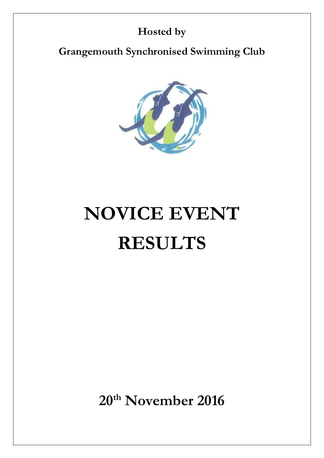# **Hosted by**

**Grangemouth Synchronised Swimming Club**



# **NOVICE EVENT RESULTS**

**20 th November 2016**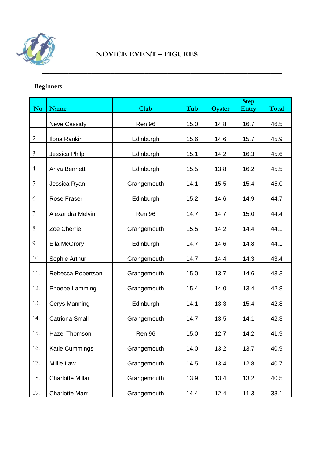

# **Beginners**

|           |                         |             |      |               | <b>Step</b> |              |
|-----------|-------------------------|-------------|------|---------------|-------------|--------------|
| <b>No</b> | <b>Name</b>             | <b>Club</b> | Tub  | <b>Oyster</b> | Entry       | <b>Total</b> |
| 1.        | <b>Neve Cassidy</b>     | Ren 96      | 15.0 | 14.8          | 16.7        | 46.5         |
| 2.        | Ilona Rankin            | Edinburgh   | 15.6 | 14.6          | 15.7        | 45.9         |
| 3.        | Jessica Philp           | Edinburgh   | 15.1 | 14.2          | 16.3        | 45.6         |
| 4.        | Anya Bennett            | Edinburgh   | 15.5 | 13.8          | 16.2        | 45.5         |
| 5.        | Jessica Ryan            | Grangemouth | 14.1 | 15.5          | 15.4        | 45.0         |
| 6.        | Rose Fraser             | Edinburgh   | 15.2 | 14.6          | 14.9        | 44.7         |
| 7.        | Alexandra Melvin        | Ren 96      | 14.7 | 14.7          | 15.0        | 44.4         |
| 8.        | Zoe Cherrie             | Grangemouth | 15.5 | 14.2          | 14.4        | 44.1         |
| 9.        | Ella McGrory            | Edinburgh   | 14.7 | 14.6          | 14.8        | 44.1         |
| 10.       | Sophie Arthur           | Grangemouth | 14.7 | 14.4          | 14.3        | 43.4         |
| 11.       | Rebecca Robertson       | Grangemouth | 15.0 | 13.7          | 14.6        | 43.3         |
| 12.       | Phoebe Lamming          | Grangemouth | 15.4 | 14.0          | 13.4        | 42.8         |
| 13.       | <b>Cerys Manning</b>    | Edinburgh   | 14.1 | 13.3          | 15.4        | 42.8         |
| 14.       | <b>Catriona Small</b>   | Grangemouth | 14.7 | 13.5          | 14.1        | 42.3         |
| 15.       | <b>Hazel Thomson</b>    | Ren 96      | 15.0 | 12.7          | 14.2        | 41.9         |
| 16.       | Katie Cummings          | Grangemouth | 14.0 | 13.2          | 13.7        | 40.9         |
| 17.       | <b>Millie Law</b>       | Grangemouth | 14.5 | 13.4          | 12.8        | 40.7         |
| 18.       | <b>Charlotte Millar</b> | Grangemouth | 13.9 | 13.4          | 13.2        | 40.5         |
| 19.       | <b>Charlotte Marr</b>   | Grangemouth | 14.4 | 12.4          | 11.3        | 38.1         |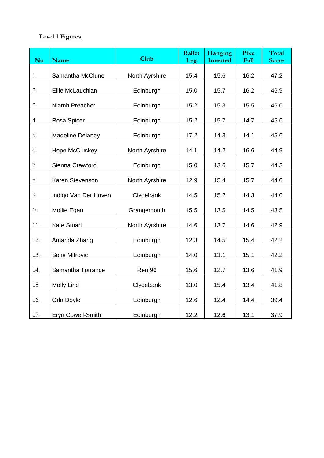# **Level 1 Figures**

| <b>No</b> | <b>Name</b>             | <b>Club</b>    | <b>Ballet</b><br>Leg | Hanging<br><b>Inverted</b> | Pike<br>Fall | Total<br><b>Score</b> |
|-----------|-------------------------|----------------|----------------------|----------------------------|--------------|-----------------------|
| 1.        | Samantha McClune        | North Ayrshire | 15.4                 | 15.6                       | 16.2         | 47.2                  |
| 2.        | Ellie McLauchlan        | Edinburgh      | 15.0                 | 15.7                       | 16.2         | 46.9                  |
| 3.        | Niamh Preacher          | Edinburgh      | 15.2                 | 15.3                       | 15.5         | 46.0                  |
| 4.        | Rosa Spicer             | Edinburgh      | 15.2                 | 15.7                       | 14.7         | 45.6                  |
| 5.        | <b>Madeline Delaney</b> | Edinburgh      | 17.2                 | 14.3                       | 14.1         | 45.6                  |
| 6.        | Hope McCluskey          | North Ayrshire | 14.1                 | 14.2                       | 16.6         | 44.9                  |
| 7.        | Sienna Crawford         | Edinburgh      | 15.0                 | 13.6                       | 15.7         | 44.3                  |
| 8.        | Karen Stevenson         | North Ayrshire | 12.9                 | 15.4                       | 15.7         | 44.0                  |
| 9.        | Indigo Van Der Hoven    | Clydebank      | 14.5                 | 15.2                       | 14.3         | 44.0                  |
| 10.       | Mollie Egan             | Grangemouth    | 15.5                 | 13.5                       | 14.5         | 43.5                  |
| 11.       | <b>Kate Stuart</b>      | North Ayrshire | 14.6                 | 13.7                       | 14.6         | 42.9                  |
| 12.       | Amanda Zhang            | Edinburgh      | 12.3                 | 14.5                       | 15.4         | 42.2                  |
| 13.       | Sofia Mitrovic          | Edinburgh      | 14.0                 | 13.1                       | 15.1         | 42.2                  |
| 14.       | Samantha Torrance       | Ren 96         | 15.6                 | 12.7                       | 13.6         | 41.9                  |
| 15.       | Molly Lind              | Clydebank      | 13.0                 | 15.4                       | 13.4         | 41.8                  |
| 16.       | Orla Doyle              | Edinburgh      | 12.6                 | 12.4                       | 14.4         | 39.4                  |
| 17.       | Eryn Cowell-Smith       | Edinburgh      | 12.2                 | 12.6                       | 13.1         | 37.9                  |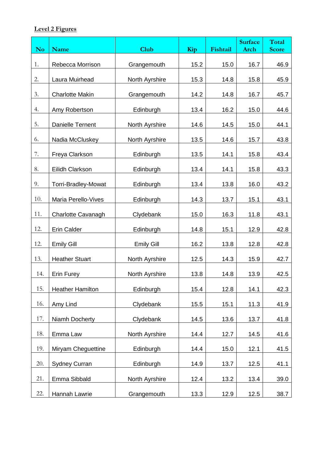# **Level 2 Figures**

| No  | <b>Name</b>             | Club              | Kip  | Fishtail | <b>Surface</b><br><b>Arch</b> | <b>Total</b><br><b>Score</b> |
|-----|-------------------------|-------------------|------|----------|-------------------------------|------------------------------|
| 1.  | Rebecca Morrison        | Grangemouth       | 15.2 | 15.0     | 16.7                          | 46.9                         |
| 2.  | Laura Muirhead          | North Ayrshire    | 15.3 | 14.8     | 15.8                          | 45.9                         |
| 3.  | <b>Charlotte Makin</b>  | Grangemouth       | 14.2 | 14.8     | 16.7                          | 45.7                         |
| 4.  | Amy Robertson           | Edinburgh         | 13.4 | 16.2     | 15.0                          | 44.6                         |
| 5.  | Danielle Ternent        | North Ayrshire    | 14.6 | 14.5     | 15.0                          | 44.1                         |
| 6.  | Nadia McCluskey         | North Ayrshire    | 13.5 | 14.6     | 15.7                          | 43.8                         |
| 7.  | Freya Clarkson          | Edinburgh         | 13.5 | 14.1     | 15.8                          | 43.4                         |
| 8.  | Eilidh Clarkson         | Edinburgh         | 13.4 | 14.1     | 15.8                          | 43.3                         |
| 9.  | Torri-Bradley-Mowat     | Edinburgh         | 13.4 | 13.8     | 16.0                          | 43.2                         |
| 10. | Maria Perello-Vives     | Edinburgh         | 14.3 | 13.7     | 15.1                          | 43.1                         |
| 11. | Charlotte Cavanagh      | Clydebank         | 15.0 | 16.3     | 11.8                          | 43.1                         |
| 12. | <b>Erin Calder</b>      | Edinburgh         | 14.8 | 15.1     | 12.9                          | 42.8                         |
| 12. | <b>Emily Gill</b>       | <b>Emily Gill</b> | 16.2 | 13.8     | 12.8                          | 42.8                         |
| 13. | <b>Heather Stuart</b>   | North Ayrshire    | 12.5 | 14.3     | 15.9                          | 42.7                         |
| 14. | <b>Erin Furey</b>       | North Ayrshire    | 13.8 | 14.8     | 13.9                          | 42.5                         |
| 15. | <b>Heather Hamilton</b> | Edinburgh         | 15.4 | 12.8     | 14.1                          | 42.3                         |
| 16. | Amy Lind                | Clydebank         | 15.5 | 15.1     | 11.3                          | 41.9                         |
| 17. | Niamh Docherty          | Clydebank         | 14.5 | 13.6     | 13.7                          | 41.8                         |
| 18. | Emma Law                | North Ayrshire    | 14.4 | 12.7     | 14.5                          | 41.6                         |
| 19. | Miryam Chequettine      | Edinburgh         | 14.4 | 15.0     | 12.1                          | 41.5                         |
| 20. | <b>Sydney Curran</b>    | Edinburgh         | 14.9 | 13.7     | 12.5                          | 41.1                         |
| 21. | Emma Sibbald            | North Ayrshire    | 12.4 | 13.2     | 13.4                          | 39.0                         |
| 22. | Hannah Lawrie           | Grangemouth       | 13.3 | 12.9     | 12.5                          | 38.7                         |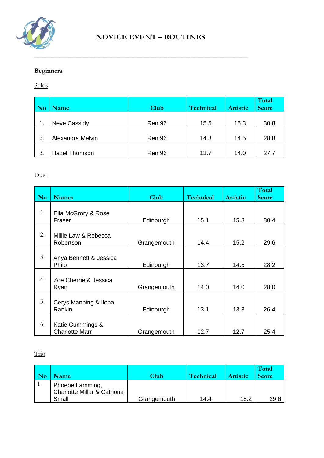

# **Beginners**

#### Solos

| <b>No</b> | <b>Name</b>          | <b>Club</b>   | Technical | <b>Artistic</b> | Total<br><b>Score</b> |
|-----------|----------------------|---------------|-----------|-----------------|-----------------------|
| 1.        | <b>Neve Cassidy</b>  | Ren 96        | 15.5      | 15.3            | 30.8                  |
| 2.        | Alexandra Melvin     | <b>Ren 96</b> | 14.3      | 14.5            | 28.8                  |
| 3.        | <b>Hazel Thomson</b> | <b>Ren 96</b> | 13.7      | 14.0            | 27.7                  |

#### Duet

| <b>No</b> | <b>Names</b>                              | <b>Club</b> | <b>Technical</b> | <b>Artistic</b> | Total<br><b>Score</b> |
|-----------|-------------------------------------------|-------------|------------------|-----------------|-----------------------|
| 1.        | Ella McGrory & Rose<br>Fraser             | Edinburgh   | 15.1             | 15.3            | 30.4                  |
| 2.        | Millie Law & Rebecca<br>Robertson         | Grangemouth | 14.4             | 15.2            | 29.6                  |
| 3.        | Anya Bennett & Jessica<br><b>Philp</b>    | Edinburgh   | 13.7             | 14.5            | 28.2                  |
| 4.        | Zoe Cherrie & Jessica<br>Ryan             | Grangemouth | 14.0             | 14.0            | 28.0                  |
| 5.        | Cerys Manning & Ilona<br>Rankin           | Edinburgh   | 13.1             | 13.3            | 26.4                  |
| 6.        | Katie Cummings &<br><b>Charlotte Marr</b> | Grangemouth | 12.7             | 12.7            | 25.4                  |

Trio

| <b>Name</b>                                                        | Club        | Technical | <b>Artistic</b> | Total<br><b>Score</b> |
|--------------------------------------------------------------------|-------------|-----------|-----------------|-----------------------|
| Phoebe Lamming,<br><b>Charlotte Millar &amp; Catriona</b><br>Small | Grangemouth | 14.4      | 15.2            | 29.6                  |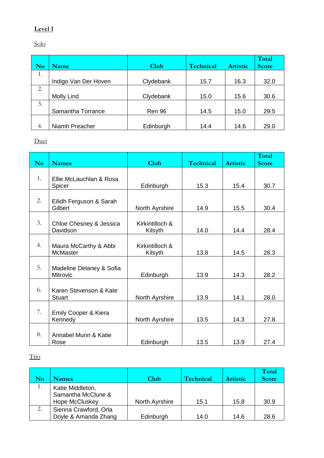# **Level 1**

Solo

| No | Name                 | <b>Club</b> | Technical | <b>Artistic</b> | Total<br><b>Score</b> |
|----|----------------------|-------------|-----------|-----------------|-----------------------|
| 1. |                      |             |           |                 |                       |
|    | Indigo Van Der Hoven | Clydebank   | 15.7      | 16.3            | 32.0                  |
| 2. |                      |             |           |                 |                       |
|    | Molly Lind           | Clydebank   | 15.0      | 15.6            | 30.6                  |
| 3. |                      |             |           |                 |                       |
|    | Samantha Torrance    | Ren 96      | 14.5      | 15.0            | 29.5                  |
|    |                      |             |           |                 |                       |
| 4. | Niamh Preacher       | Edinburgh   | 14.4      | 14.6            | 29.0                  |

Duet

| No. | <b>Names</b>                             | <b>Club</b>                | <b>Technical</b> | <b>Artistic</b> | Total<br><b>Score</b> |
|-----|------------------------------------------|----------------------------|------------------|-----------------|-----------------------|
| 1.  | Ellie McLauchlan & Rosa<br>Spicer        | Edinburgh                  | 15.3             | 15.4            | 30.7                  |
| 2.  | Eilidh Ferguson & Sarah<br>Gilbert       | North Ayrshire             | 14.9             | 15.5            | 30.4                  |
| 3.  | Chloe Chesney & Jessica<br>Davidson      | Kirkintilloch &<br>Kilsyth | 14.0             | 14.4            | 28.4                  |
| 4.  | Maura McCarthy & Abbi<br><b>McMaster</b> | Kirkintilloch &<br>Kilsyth | 13.8             | 14.5            | 28.3                  |
| 5.  | Madeline Delaney & Sofia<br>Mitrovic     | Edinburgh                  | 13.9             | 14.3            | 28.2                  |
| 6.  | Karen Stevenson & Kate<br><b>Stuart</b>  | North Ayrshire             | 13.9             | 14.1            | 28.0                  |
| 7.  | Emily Cooper & Kiera<br>Kennedy          | North Ayrshire             | 13.5             | 14.3            | 27.8                  |
| 8.  | Annabel Munn & Katie<br>Rose             | Edinburgh                  | 13.5             | 13.9            | 27.4                  |

Trio

|    |                                                          |                |                  |                 | Total        |
|----|----------------------------------------------------------|----------------|------------------|-----------------|--------------|
|    | <b>Names</b>                                             | Club           | <b>Technical</b> | <b>Artistic</b> | <b>Score</b> |
| 1. | Katie Middleton,<br>Samantha McClune &<br>Hope McCluskey | North Ayrshire | 15.1             | 15.8            | 30.9         |
| 2. | Sienna Crawford, Orla                                    |                |                  |                 |              |
|    | Doyle & Amanda Zhang                                     | Edinburgh      | 14.0             | 14.6            | 28.6         |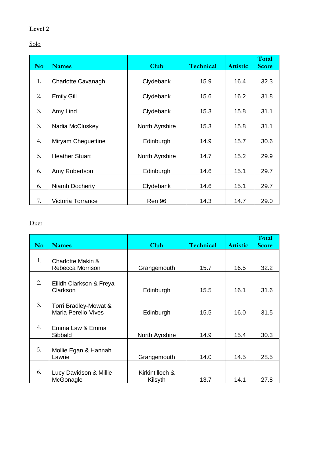# **Level 2**

Solo

| <b>No</b> | <b>Names</b>          | <b>Club</b>    | <b>Technical</b> | <b>Artistic</b> | Total<br><b>Score</b> |
|-----------|-----------------------|----------------|------------------|-----------------|-----------------------|
|           |                       |                |                  |                 |                       |
| 1.        | Charlotte Cavanagh    | Clydebank      | 15.9             | 16.4            | 32.3                  |
| 2.        | <b>Emily Gill</b>     | Clydebank      | 15.6             | 16.2            | 31.8                  |
| 3.        | Amy Lind              | Clydebank      | 15.3             | 15.8            | 31.1                  |
| 3.        | Nadia McCluskey       | North Ayrshire | 15.3             | 15.8            | 31.1                  |
| 4.        | Miryam Cheguettine    | Edinburgh      | 14.9             | 15.7            | 30.6                  |
| 5.        | <b>Heather Stuart</b> | North Ayrshire | 14.7             | 15.2            | 29.9                  |
| 6.        | Amy Robertson         | Edinburgh      | 14.6             | 15.1            | 29.7                  |
| 6.        | Niamh Docherty        | Clydebank      | 14.6             | 15.1            | 29.7                  |
| 7.        | Victoria Torrance     | <b>Ren 96</b>  | 14.3             | 14.7            | 29.0                  |

#### Duet

| N <sub>o</sub> | <b>Names</b>                                        | Club                       | <b>Technical</b> | <b>Artistic</b> | Total<br><b>Score</b> |
|----------------|-----------------------------------------------------|----------------------------|------------------|-----------------|-----------------------|
| 1.             | Charlotte Makin &<br>Rebecca Morrison               | Grangemouth                | 15.7             | 16.5            | 32.2                  |
| 2.             | Eilidh Clarkson & Freya<br>Clarkson                 | Edinburgh                  | 15.5             | 16.1            | 31.6                  |
| 3.             | Torri Bradley-Mowat &<br><b>Maria Perello-Vives</b> | Edinburgh                  | 15.5             | 16.0            | 31.5                  |
| 4.             | Emma Law & Emma<br>Sibbald                          | North Ayrshire             | 14.9             | 15.4            | 30.3                  |
| 5.             | Mollie Egan & Hannah<br>Lawrie                      | Grangemouth                | 14.0             | 14.5            | 28.5                  |
| 6.             | Lucy Davidson & Millie<br>McGonagle                 | Kirkintilloch &<br>Kilsyth | 13.7             | 14.1            | 27.8                  |